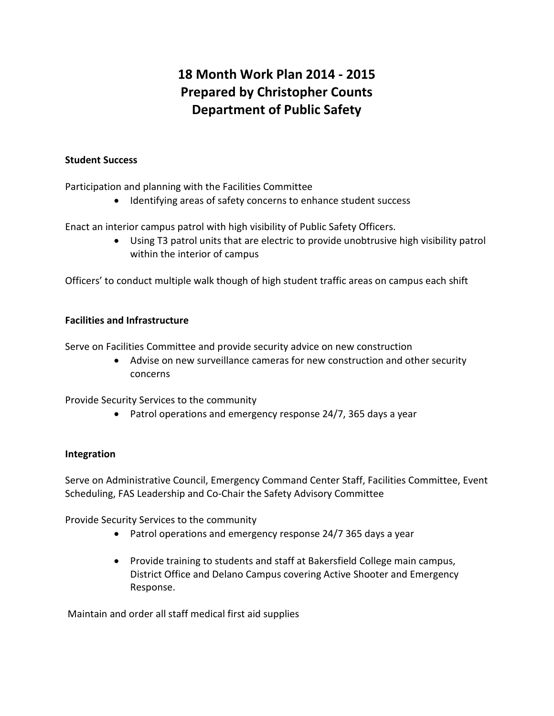# **18 Month Work Plan 2014 - 2015 Prepared by Christopher Counts Department of Public Safety**

#### **Student Success**

Participation and planning with the Facilities Committee

• Identifying areas of safety concerns to enhance student success

Enact an interior campus patrol with high visibility of Public Safety Officers.

• Using T3 patrol units that are electric to provide unobtrusive high visibility patrol within the interior of campus

Officers' to conduct multiple walk though of high student traffic areas on campus each shift

## **Facilities and Infrastructure**

Serve on Facilities Committee and provide security advice on new construction

• Advise on new surveillance cameras for new construction and other security concerns

Provide Security Services to the community

• Patrol operations and emergency response 24/7, 365 days a year

## **Integration**

Serve on Administrative Council, Emergency Command Center Staff, Facilities Committee, Event Scheduling, FAS Leadership and Co-Chair the Safety Advisory Committee

Provide Security Services to the community

- Patrol operations and emergency response 24/7 365 days a year
- Provide training to students and staff at Bakersfield College main campus, District Office and Delano Campus covering Active Shooter and Emergency Response.

Maintain and order all staff medical first aid supplies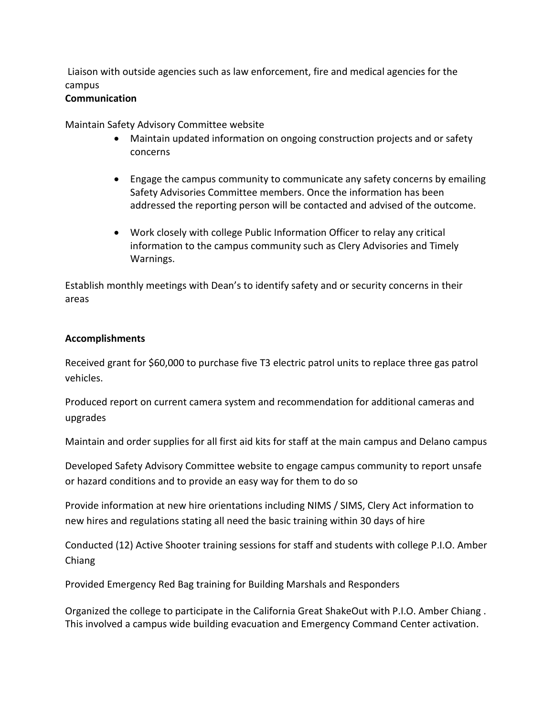Liaison with outside agencies such as law enforcement, fire and medical agencies for the campus

#### **Communication**

Maintain Safety Advisory Committee website

- Maintain updated information on ongoing construction projects and or safety concerns
- Engage the campus community to communicate any safety concerns by emailing Safety Advisories Committee members. Once the information has been addressed the reporting person will be contacted and advised of the outcome.
- Work closely with college Public Information Officer to relay any critical information to the campus community such as Clery Advisories and Timely Warnings.

Establish monthly meetings with Dean's to identify safety and or security concerns in their areas

## **Accomplishments**

Received grant for \$60,000 to purchase five T3 electric patrol units to replace three gas patrol vehicles.

Produced report on current camera system and recommendation for additional cameras and upgrades

Maintain and order supplies for all first aid kits for staff at the main campus and Delano campus

Developed Safety Advisory Committee website to engage campus community to report unsafe or hazard conditions and to provide an easy way for them to do so

Provide information at new hire orientations including NIMS / SIMS, Clery Act information to new hires and regulations stating all need the basic training within 30 days of hire

Conducted (12) Active Shooter training sessions for staff and students with college P.I.O. Amber Chiang

Provided Emergency Red Bag training for Building Marshals and Responders

Organized the college to participate in the California Great ShakeOut with P.I.O. Amber Chiang . This involved a campus wide building evacuation and Emergency Command Center activation.